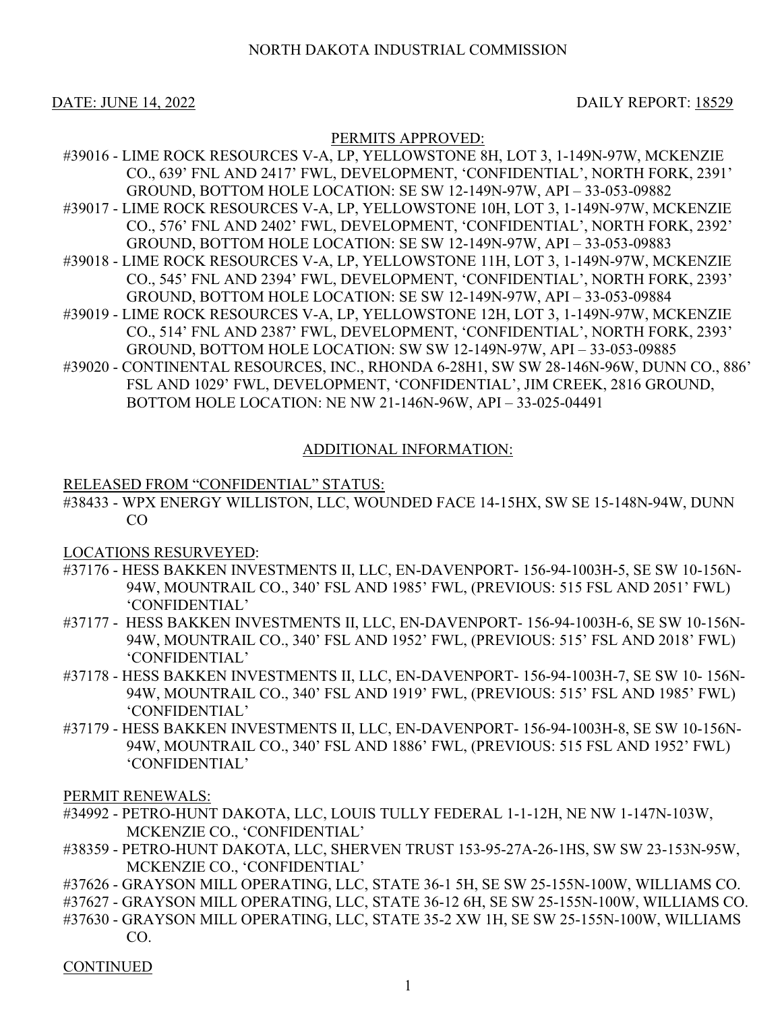# NORTH DAKOTA INDUSTRIAL COMMISSION

DATE: JUNE 14, 2022 DAILY REPORT: 18529

# PERMITS APPROVED:

- #39016 LIME ROCK RESOURCES V-A, LP, YELLOWSTONE 8H, LOT 3, 1-149N-97W, MCKENZIE CO., 639' FNL AND 2417' FWL, DEVELOPMENT, 'CONFIDENTIAL', NORTH FORK, 2391' GROUND, BOTTOM HOLE LOCATION: SE SW 12-149N-97W, API – 33-053-09882 #39017 - LIME ROCK RESOURCES V-A, LP, YELLOWSTONE 10H, LOT 3, 1-149N-97W, MCKENZIE CO., 576' FNL AND 2402' FWL, DEVELOPMENT, 'CONFIDENTIAL', NORTH FORK, 2392' GROUND, BOTTOM HOLE LOCATION: SE SW 12-149N-97W, API – 33-053-09883 #39018 - LIME ROCK RESOURCES V-A, LP, YELLOWSTONE 11H, LOT 3, 1-149N-97W, MCKENZIE CO., 545' FNL AND 2394' FWL, DEVELOPMENT, 'CONFIDENTIAL', NORTH FORK, 2393' GROUND, BOTTOM HOLE LOCATION: SE SW 12-149N-97W, API – 33-053-09884 #39019 - LIME ROCK RESOURCES V-A, LP, YELLOWSTONE 12H, LOT 3, 1-149N-97W, MCKENZIE CO., 514' FNL AND 2387' FWL, DEVELOPMENT, 'CONFIDENTIAL', NORTH FORK, 2393' GROUND, BOTTOM HOLE LOCATION: SW SW 12-149N-97W, API – 33-053-09885 #39020 - CONTINENTAL RESOURCES, INC., RHONDA 6-28H1, SW SW 28-146N-96W, DUNN CO., 886'
- FSL AND 1029' FWL, DEVELOPMENT, 'CONFIDENTIAL', JIM CREEK, 2816 GROUND, BOTTOM HOLE LOCATION: NE NW 21-146N-96W, API – 33-025-04491

### ADDITIONAL INFORMATION:

#### RELEASED FROM "CONFIDENTIAL" STATUS:

#38433 - WPX ENERGY WILLISTON, LLC, WOUNDED FACE 14-15HX, SW SE 15-148N-94W, DUNN CO

## LOCATIONS RESURVEYED:

- #37176 HESS BAKKEN INVESTMENTS II, LLC, EN-DAVENPORT- 156-94-1003H-5, SE SW 10-156N-94W, MOUNTRAIL CO., 340' FSL AND 1985' FWL, (PREVIOUS: 515 FSL AND 2051' FWL) 'CONFIDENTIAL'
- #37177 HESS BAKKEN INVESTMENTS II, LLC, EN-DAVENPORT- 156-94-1003H-6, SE SW 10-156N-94W, MOUNTRAIL CO., 340' FSL AND 1952' FWL, (PREVIOUS: 515' FSL AND 2018' FWL) 'CONFIDENTIAL'
- #37178 HESS BAKKEN INVESTMENTS II, LLC, EN-DAVENPORT- 156-94-1003H-7, SE SW 10- 156N-94W, MOUNTRAIL CO., 340' FSL AND 1919' FWL, (PREVIOUS: 515' FSL AND 1985' FWL) 'CONFIDENTIAL'
- #37179 HESS BAKKEN INVESTMENTS II, LLC, EN-DAVENPORT- 156-94-1003H-8, SE SW 10-156N-94W, MOUNTRAIL CO., 340' FSL AND 1886' FWL, (PREVIOUS: 515 FSL AND 1952' FWL) 'CONFIDENTIAL'

PERMIT RENEWALS:

- #34992 PETRO-HUNT DAKOTA, LLC, LOUIS TULLY FEDERAL 1-1-12H, NE NW 1-147N-103W, MCKENZIE CO., 'CONFIDENTIAL'
- #38359 PETRO-HUNT DAKOTA, LLC, SHERVEN TRUST 153-95-27A-26-1HS, SW SW 23-153N-95W, MCKENZIE CO., 'CONFIDENTIAL'
- #37626 GRAYSON MILL OPERATING, LLC, STATE 36-1 5H, SE SW 25-155N-100W, WILLIAMS CO.
- #37627 GRAYSON MILL OPERATING, LLC, STATE 36-12 6H, SE SW 25-155N-100W, WILLIAMS CO.
- #37630 GRAYSON MILL OPERATING, LLC, STATE 35-2 XW 1H, SE SW 25-155N-100W, WILLIAMS CO.

**CONTINUED**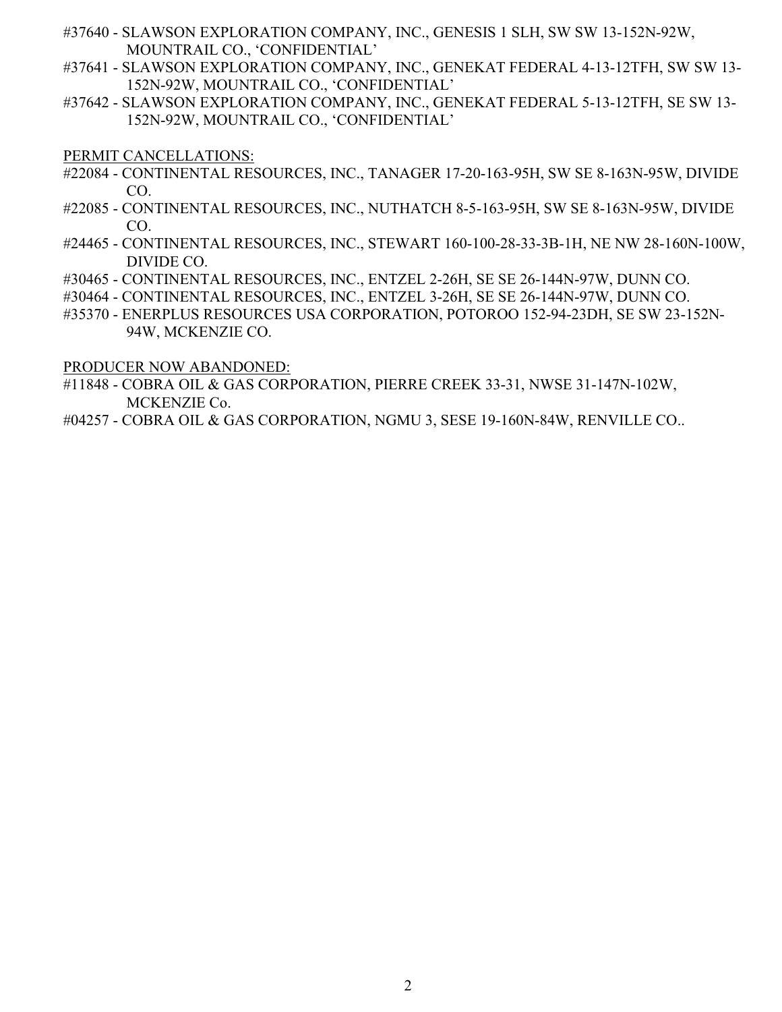- #37640 SLAWSON EXPLORATION COMPANY, INC., GENESIS 1 SLH, SW SW 13-152N-92W, MOUNTRAIL CO., 'CONFIDENTIAL'
- #37641 SLAWSON EXPLORATION COMPANY, INC., GENEKAT FEDERAL 4-13-12TFH, SW SW 13- 152N-92W, MOUNTRAIL CO., 'CONFIDENTIAL'
- #37642 SLAWSON EXPLORATION COMPANY, INC., GENEKAT FEDERAL 5-13-12TFH, SE SW 13- 152N-92W, MOUNTRAIL CO., 'CONFIDENTIAL'

PERMIT CANCELLATIONS:

- #22084 CONTINENTAL RESOURCES, INC., TANAGER 17-20-163-95H, SW SE 8-163N-95W, DIVIDE CO.
- #22085 CONTINENTAL RESOURCES, INC., NUTHATCH 8-5-163-95H, SW SE 8-163N-95W, DIVIDE CO.
- #24465 CONTINENTAL RESOURCES, INC., STEWART 160-100-28-33-3B-1H, NE NW 28-160N-100W, DIVIDE CO.
- #30465 CONTINENTAL RESOURCES, INC., ENTZEL 2-26H, SE SE 26-144N-97W, DUNN CO.
- #30464 CONTINENTAL RESOURCES, INC., ENTZEL 3-26H, SE SE 26-144N-97W, DUNN CO.
- #35370 ENERPLUS RESOURCES USA CORPORATION, POTOROO 152-94-23DH, SE SW 23-152N-94W, MCKENZIE CO.

PRODUCER NOW ABANDONED:

- #11848 COBRA OIL & GAS CORPORATION, PIERRE CREEK 33-31, NWSE 31-147N-102W, MCKENZIE Co.
- #04257 COBRA OIL & GAS CORPORATION, NGMU 3, SESE 19-160N-84W, RENVILLE CO..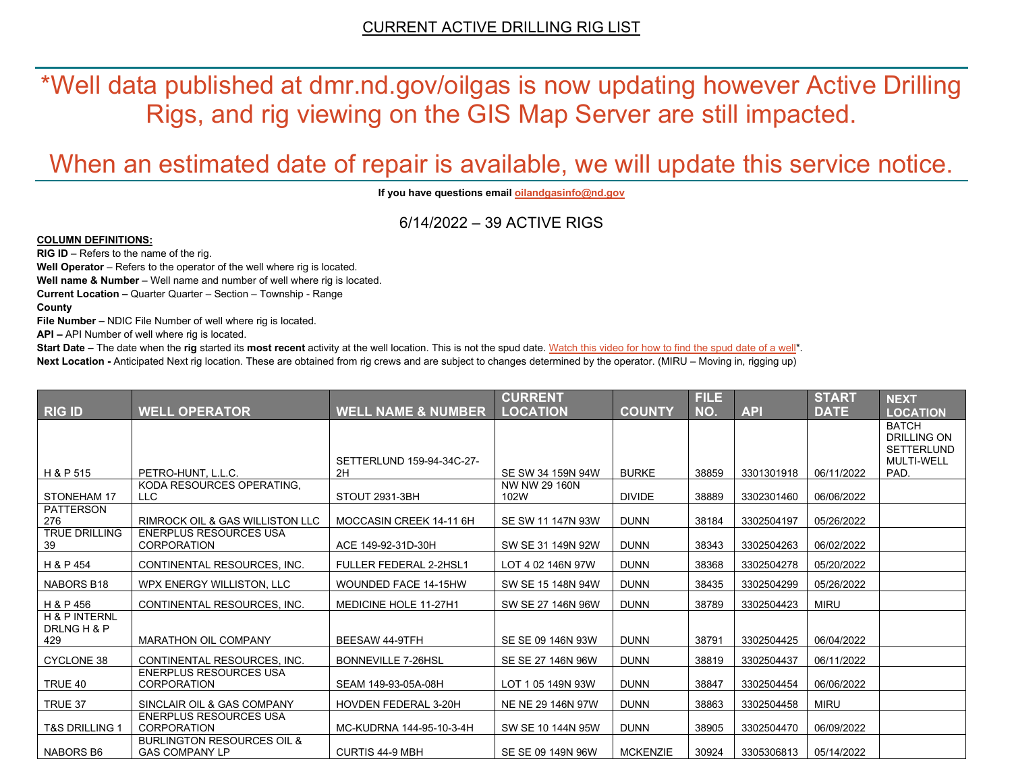\*Well data published at dmr.nd.gov/oilgas is now updating however Active Drilling Rigs, and rig viewing on the GIS Map Server are still impacted.

# When an estimated date of repair is available, we will update this service notice.

**If you have questions emai[l oilandgasinfo@nd.gov](mailto:oilandgasinfo@nd.gov)**

6/14/2022 – 39 ACTIVE RIGS

#### **COLUMN DEFINITIONS:**

**RIG ID** – Refers to the name of the rig.

**Well Operator** – Refers to the operator of the well where rig is located.

**Well name & Number** – Well name and number of well where rig is located.

**Current Location –** Quarter Quarter – Section – Township - Range

**County**

**File Number –** NDIC File Number of well where rig is located.

**API –** API Number of well where rig is located.

**Start Date** – The date when the **rig** started its most recent activity at the well location. This is not the spud date. Watch this video for how [to find the spud date of a well\\*](https://youtu.be/JjWwzuuMVpM). **Next Location -** Anticipated Next rig location. These are obtained from rig crews and are subject to changes determined by the operator. (MIRU – Moving in, rigging up)

|                                     |                                                                |                                 | <b>CURRENT</b>        |                 | <b>FILE</b> |            | <b>START</b> | <b>NEXT</b>                                             |
|-------------------------------------|----------------------------------------------------------------|---------------------------------|-----------------------|-----------------|-------------|------------|--------------|---------------------------------------------------------|
| <b>RIG ID</b>                       | <b>WELL OPERATOR</b>                                           | <b>WELL NAME &amp; NUMBER</b>   | <b>LOCATION</b>       | <b>COUNTY</b>   | NO.         | <b>API</b> | <b>DATE</b>  | <b>LOCATION</b>                                         |
|                                     |                                                                |                                 |                       |                 |             |            |              | <b>BATCH</b><br><b>DRILLING ON</b><br><b>SETTERLUND</b> |
| H & P 515                           | PETRO-HUNT, L.L.C.                                             | SETTERLUND 159-94-34C-27-<br>2H | SE SW 34 159N 94W     | <b>BURKE</b>    | 38859       | 3301301918 | 06/11/2022   | <b>MULTI-WELL</b><br>PAD.                               |
| STONEHAM 17                         | KODA RESOURCES OPERATING,<br>LLC                               | STOUT 2931-3BH                  | NW NW 29 160N<br>102W | <b>DIVIDE</b>   | 38889       | 3302301460 | 06/06/2022   |                                                         |
| PATTERSON<br>276                    | RIMROCK OIL & GAS WILLISTON LLC                                | MOCCASIN CREEK 14-11 6H         | SE SW 11 147N 93W     | <b>DUNN</b>     | 38184       | 3302504197 | 05/26/2022   |                                                         |
| <b>TRUE DRILLING</b><br>39          | <b>ENERPLUS RESOURCES USA</b><br><b>CORPORATION</b>            | ACE 149-92-31D-30H              | SW SE 31 149N 92W     | <b>DUNN</b>     | 38343       | 3302504263 | 06/02/2022   |                                                         |
| H & P 454                           | CONTINENTAL RESOURCES, INC.                                    | <b>FULLER FEDERAL 2-2HSL1</b>   | LOT 4 02 146N 97W     | <b>DUNN</b>     | 38368       | 3302504278 | 05/20/2022   |                                                         |
| NABORS B18                          | WPX ENERGY WILLISTON, LLC                                      | WOUNDED FACE 14-15HW            | SW SE 15 148N 94W     | <b>DUNN</b>     | 38435       | 3302504299 | 05/26/2022   |                                                         |
| H & P 456                           | CONTINENTAL RESOURCES. INC.                                    | MEDICINE HOLE 11-27H1           | SW SE 27 146N 96W     | <b>DUNN</b>     | 38789       | 3302504423 | <b>MIRU</b>  |                                                         |
| H & P INTERNL<br>DRLNG H & P<br>429 | <b>MARATHON OIL COMPANY</b>                                    | BEESAW 44-9TFH                  | SE SE 09 146N 93W     | <b>DUNN</b>     | 38791       | 3302504425 | 06/04/2022   |                                                         |
| <b>CYCLONE 38</b>                   | CONTINENTAL RESOURCES, INC.                                    | <b>BONNEVILLE 7-26HSL</b>       | SE SE 27 146N 96W     | <b>DUNN</b>     | 38819       | 3302504437 | 06/11/2022   |                                                         |
| TRUE 40                             | <b>ENERPLUS RESOURCES USA</b><br><b>CORPORATION</b>            | SEAM 149-93-05A-08H             | LOT 1 05 149N 93W     | <b>DUNN</b>     | 38847       | 3302504454 | 06/06/2022   |                                                         |
| TRUE 37                             | SINCLAIR OIL & GAS COMPANY                                     | <b>HOVDEN FEDERAL 3-20H</b>     | NE NE 29 146N 97W     | <b>DUNN</b>     | 38863       | 3302504458 | <b>MIRU</b>  |                                                         |
| <b>T&amp;S DRILLING 1</b>           | ENERPLUS RESOURCES USA<br><b>CORPORATION</b>                   | MC-KUDRNA 144-95-10-3-4H        | SW SE 10 144N 95W     | <b>DUNN</b>     | 38905       | 3302504470 | 06/09/2022   |                                                         |
| NABORS B6                           | <b>BURLINGTON RESOURCES OIL &amp;</b><br><b>GAS COMPANY LP</b> | <b>CURTIS 44-9 MBH</b>          | SE SE 09 149N 96W     | <b>MCKENZIE</b> | 30924       | 3305306813 | 05/14/2022   |                                                         |